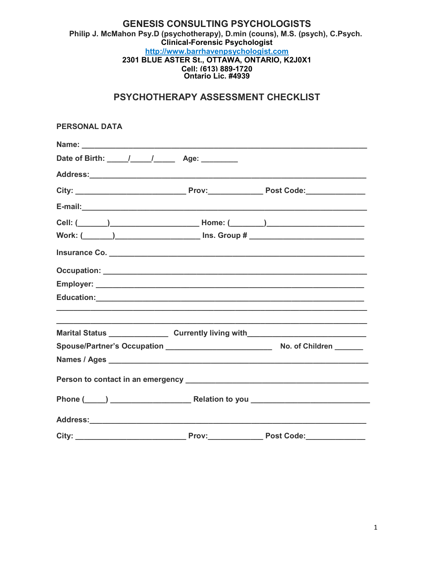# **GENESIS CONSULTING PSYCHOLOGISTS** Philip J. McMahon Psy.D (psychotherapy), D.min (couns), M.S. (psych), C.Psych. Clinical-Forensic Psychologist http://www.barrhavenpsychologist.com 2301 BLUE ASTER St., OTTAWA, ONTARIO, K2J0X1 Cell: (613) 889-1720<br>Ontario Lic. #4939

# PSYCHOTHERAPY ASSESSMENT CHECKLIST

| <b>PERSONAL DATA</b>                                                                                                                                                                                    |       |                                                             |
|---------------------------------------------------------------------------------------------------------------------------------------------------------------------------------------------------------|-------|-------------------------------------------------------------|
|                                                                                                                                                                                                         |       |                                                             |
| Date of Birth: ____/___/______ Age: ______                                                                                                                                                              |       |                                                             |
|                                                                                                                                                                                                         |       |                                                             |
|                                                                                                                                                                                                         |       |                                                             |
|                                                                                                                                                                                                         |       |                                                             |
|                                                                                                                                                                                                         |       |                                                             |
| Work: (______)__________________________ Ins. Group # __________________________                                                                                                                        |       |                                                             |
|                                                                                                                                                                                                         |       |                                                             |
|                                                                                                                                                                                                         |       |                                                             |
|                                                                                                                                                                                                         |       |                                                             |
|                                                                                                                                                                                                         |       |                                                             |
|                                                                                                                                                                                                         |       | <u> 1989 - Johann Stoff, amerikansk politiker (d. 1989)</u> |
|                                                                                                                                                                                                         |       |                                                             |
| Names / Ages <b>Manual Ages Manual Ages Manual Ages Manual Ages Manual Ages Manual Ages Manual Ages Manual Ages Manual Ages Manual Ages Manual Ages Manual Ages Manual Ages Manual Ages Manual Ages</b> |       |                                                             |
|                                                                                                                                                                                                         |       |                                                             |
|                                                                                                                                                                                                         |       |                                                             |
|                                                                                                                                                                                                         |       |                                                             |
| City:                                                                                                                                                                                                   | Prov: | <b>Post Code:</b>                                           |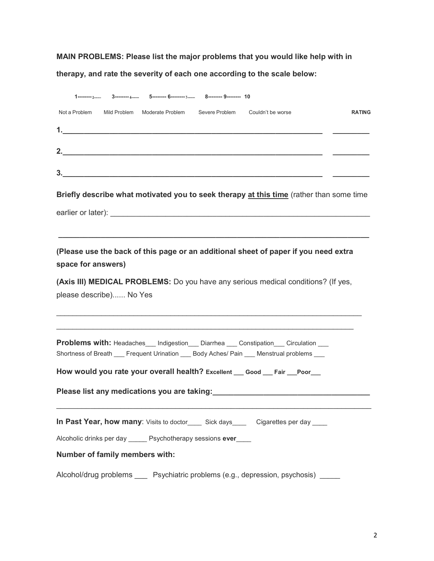MAIN PROBLEMS: Please list the major problems that you would like help with in

therapy, and rate the severity of each one according to the scale below:

| 3--------4-------- 5--------- 6--------- 7------- 8-------- 9-------- 10                                                                                                                                                                   |               |
|--------------------------------------------------------------------------------------------------------------------------------------------------------------------------------------------------------------------------------------------|---------------|
| Mild Problem Moderate Problem Severe Problem Couldn't be worse<br>Not a Problem                                                                                                                                                            | <b>RATING</b> |
|                                                                                                                                                                                                                                            |               |
| 2.<br><u> 1989 - Johann Johann Harry Harry Harry Harry Harry Harry Harry Harry Harry Harry Harry Harry Harry Harry Harry Harry Harry Harry Harry Harry Harry Harry Harry Harry Harry Harry Harry Harry Harry Harry Harry Harry Harry H</u> |               |
|                                                                                                                                                                                                                                            |               |
|                                                                                                                                                                                                                                            |               |
| Briefly describe what motivated you to seek therapy at this time (rather than some time                                                                                                                                                    |               |
|                                                                                                                                                                                                                                            |               |
|                                                                                                                                                                                                                                            |               |
| (Please use the back of this page or an additional sheet of paper if you need extra                                                                                                                                                        |               |
| space for answers)                                                                                                                                                                                                                         |               |
| (Axis III) MEDICAL PROBLEMS: Do you have any serious medical conditions? (If yes,                                                                                                                                                          |               |
| please describe) No Yes                                                                                                                                                                                                                    |               |
| and the control of the control of the control of the control of the control of the control of the control of the                                                                                                                           |               |
|                                                                                                                                                                                                                                            |               |
| <b>Problems with: Headaches</b> Indigestion Diarrhea Constipation Circulation                                                                                                                                                              |               |
| Shortness of Breath ___ Frequent Urination ___ Body Aches/ Pain ___ Menstrual problems ___                                                                                                                                                 |               |
| How would you rate your overall health? Excellent __ Good __ Fair __ Poor__                                                                                                                                                                |               |
|                                                                                                                                                                                                                                            |               |
|                                                                                                                                                                                                                                            |               |
| In Past Year, how many: Visits to doctor______ Sick days_______ Cigarettes per day _____                                                                                                                                                   |               |
| Alcoholic drinks per day _____ Psychotherapy sessions ever____                                                                                                                                                                             |               |
| Number of family members with:                                                                                                                                                                                                             |               |
| Alcohol/drug problems _____ Psychiatric problems (e.g., depression, psychosis) ______                                                                                                                                                      |               |
|                                                                                                                                                                                                                                            |               |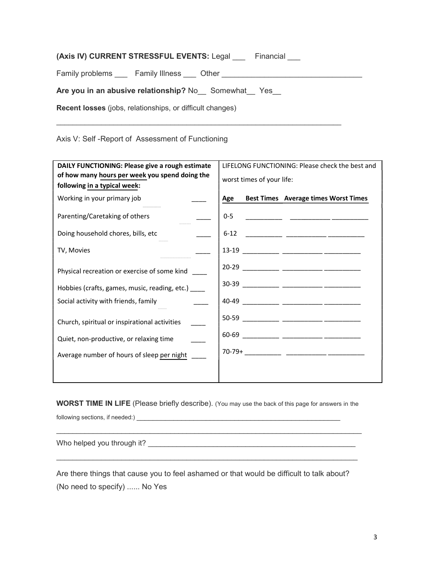| (Axis IV) CURRENT STRESSFUL EVENTS: Legal<br>Financial |  |
|--------------------------------------------------------|--|
| Family problems<br><b>Family Illness</b> Other         |  |
| Are you in an abusive relationship? No Somewhat Yes    |  |

\_\_\_\_\_\_\_\_\_\_\_\_\_\_\_\_\_\_\_\_\_\_\_\_\_\_\_\_\_\_\_\_\_\_\_\_\_\_\_\_\_\_\_\_\_\_\_\_\_\_\_\_\_\_\_\_\_\_\_\_\_\_\_\_\_\_\_\_\_\_

Recent losses (jobs, relationships, or difficult changes)

Axis V: Self -Report of Assessment of Functioning

| DAILY FUNCTIONING: Please give a rough estimate                                | LIFELONG FUNCTIONING: Please check the best and    |
|--------------------------------------------------------------------------------|----------------------------------------------------|
| of how many hours per week you spend doing the<br>following in a typical week: | worst times of your life:                          |
| Working in your primary job                                                    | <b>Best Times</b> Average times Worst Times<br>Age |
| Parenting/Caretaking of others                                                 | $0 - 5$                                            |
| Doing household chores, bills, etc                                             | $6 - 12$                                           |
| TV, Movies                                                                     |                                                    |
| Physical recreation or exercise of some kind                                   |                                                    |
| Hobbies (crafts, games, music, reading, etc.) _____                            |                                                    |
| Social activity with friends, family                                           |                                                    |
| Church, spiritual or inspirational activities                                  |                                                    |
| Quiet, non-productive, or relaxing time                                        |                                                    |
| Average number of hours of sleep per night                                     |                                                    |
|                                                                                |                                                    |

WORST TIME IN LIFE (Please briefly describe). (You may use the back of this page for answers in the

\_\_\_\_\_\_\_\_\_\_\_\_\_\_\_\_\_\_\_\_\_\_\_\_\_\_\_\_\_\_\_\_\_\_\_\_\_\_\_\_\_\_\_\_\_\_\_\_\_\_\_\_\_\_\_\_\_\_\_\_\_\_\_\_\_\_\_\_\_\_\_\_\_\_\_

following sections, if needed:) \_\_\_\_\_\_\_\_\_\_\_\_\_\_\_\_\_\_\_\_\_\_\_\_\_\_\_\_\_\_\_\_\_\_\_\_\_\_\_\_\_\_\_\_\_\_\_\_\_\_

Who helped you through it? \_\_\_\_\_\_\_\_\_\_\_\_\_\_\_\_\_\_\_\_\_\_\_\_\_\_\_\_\_\_\_\_\_\_\_\_\_\_\_\_\_\_\_\_\_\_\_\_\_\_\_

Are there things that cause you to feel ashamed or that would be difficult to talk about? (No need to specify) ...... No Yes

\_\_\_\_\_\_\_\_\_\_\_\_\_\_\_\_\_\_\_\_\_\_\_\_\_\_\_\_\_\_\_\_\_\_\_\_\_\_\_\_\_\_\_\_\_\_\_\_\_\_\_\_\_\_\_\_\_\_\_\_\_\_\_\_\_\_\_\_\_\_\_\_\_\_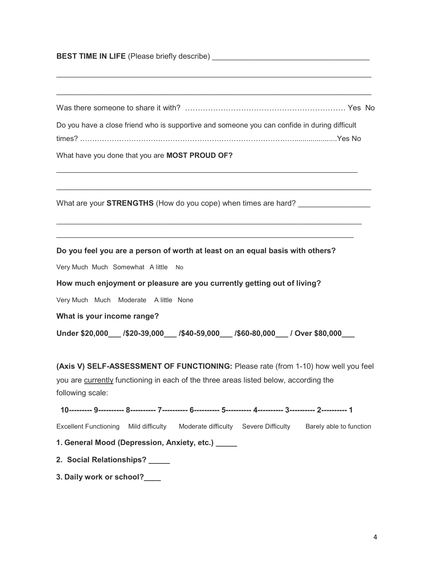| <b>BEST TIME IN LIFE</b> (Please briefly describe) |  |
|----------------------------------------------------|--|
|                                                    |  |

| Do you have a close friend who is supportive and someone you can confide in during difficult |  |
|----------------------------------------------------------------------------------------------|--|
|                                                                                              |  |

\_\_\_\_\_\_\_\_\_\_\_\_\_\_\_\_\_\_\_\_\_\_\_\_\_\_\_\_\_\_\_\_\_\_\_\_\_\_\_\_\_\_\_\_\_\_\_\_\_\_\_\_\_\_\_\_\_\_\_\_\_\_\_\_\_\_\_\_\_\_\_\_\_\_

\_\_\_\_\_\_\_\_\_\_\_\_\_\_\_\_\_\_\_\_\_\_\_\_\_\_\_\_\_\_\_\_\_\_\_\_\_\_\_\_\_\_\_\_\_\_\_\_\_\_\_\_\_\_\_\_\_\_\_\_\_\_\_\_\_\_\_\_\_\_\_\_\_\_\_  $\mathcal{L}_\mathcal{L} = \{ \mathcal{L}_\mathcal{L} = \{ \mathcal{L}_\mathcal{L} = \{ \mathcal{L}_\mathcal{L} = \{ \mathcal{L}_\mathcal{L} = \{ \mathcal{L}_\mathcal{L} = \{ \mathcal{L}_\mathcal{L} = \{ \mathcal{L}_\mathcal{L} = \{ \mathcal{L}_\mathcal{L} = \{ \mathcal{L}_\mathcal{L} = \{ \mathcal{L}_\mathcal{L} = \{ \mathcal{L}_\mathcal{L} = \{ \mathcal{L}_\mathcal{L} = \{ \mathcal{L}_\mathcal{L} = \{ \mathcal{L}_\mathcal{$ 

\_\_\_\_\_\_\_\_\_\_\_\_\_\_\_\_\_\_\_\_\_\_\_\_\_\_\_\_\_\_\_\_\_\_\_\_\_\_\_\_\_\_\_\_\_\_\_\_\_\_\_\_\_\_\_\_\_\_\_\_\_\_\_\_\_\_\_\_\_\_\_\_\_\_

What have you done that you are MOST PROUD OF?

What are your **STRENGTHS** (How do you cope) when times are hard?

#### Do you feel you are a person of worth at least on an equal basis with others?

Very Much Much Somewhat A little No

How much enjoyment or pleasure are you currently getting out of living?

Very Much Much Moderate A little None

What is your income range?

Under \$20,000\_\_\_ /\$20-39,000\_\_\_ /\$40-59,000\_\_\_ /\$60-80,000\_\_\_ / Over \$80,000\_\_\_

(Axis V) SELF-ASSESSMENT OF FUNCTIONING: Please rate (from 1-10) how well you feel you are currently functioning in each of the three areas listed below, according the following scale:

10--------- 9---------- 8---------- 7---------- 6---------- 5---------- 4---------- 3---------- 2---------- 1

Excellent Functioning Mild difficulty Moderate difficulty Severe Difficulty Barely able to function

1. General Mood (Depression, Anxiety, etc.)

- 2. Social Relationships? \_\_\_\_\_
- 3. Daily work or school?\_\_\_\_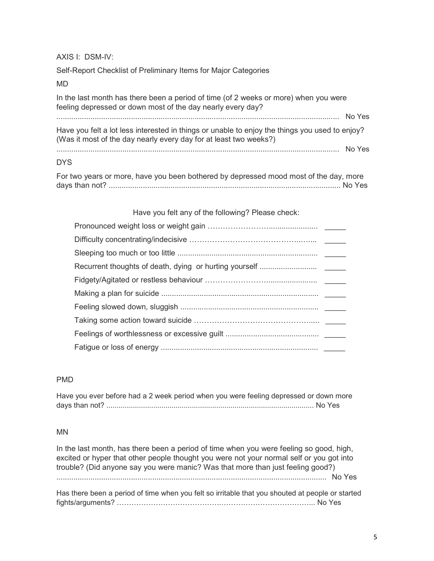AXIS I: DSM-IV:

Self-Report Checklist of Preliminary Items for Major Categories

| MD                                                                                                                                                                  |        |
|---------------------------------------------------------------------------------------------------------------------------------------------------------------------|--------|
| In the last month has there been a period of time (of 2 weeks or more) when you were<br>feeling depressed or down most of the day nearly every day?                 |        |
|                                                                                                                                                                     | No Yes |
| Have you felt a lot less interested in things or unable to enjoy the things you used to enjoy?<br>(Was it most of the day nearly every day for at least two weeks?) |        |
| and a complete the contract of the complete contract of the complete the complete of the complete of the compl                                                      | No Yes |

#### DYS

For two years or more, have you been bothered by depressed mood most of the day, more days than not? ............................................................................................................. No Yes

Have you felt any of the following? Please check:

#### PMD

| Have you ever before had a 2 week period when you were feeling depressed or down more |  |
|---------------------------------------------------------------------------------------|--|
|                                                                                       |  |

#### MN

In the last month, has there been a period of time when you were feeling so good, high, excited or hyper that other people thought you were not your normal self or you got into trouble? (Did anyone say you were manic? Was that more than just feeling good?) ............................................................................................................................... No Yes

Has there been a period of time when you felt so irritable that you shouted at people or started fights/arguments? …………………………………….………………………………... No Yes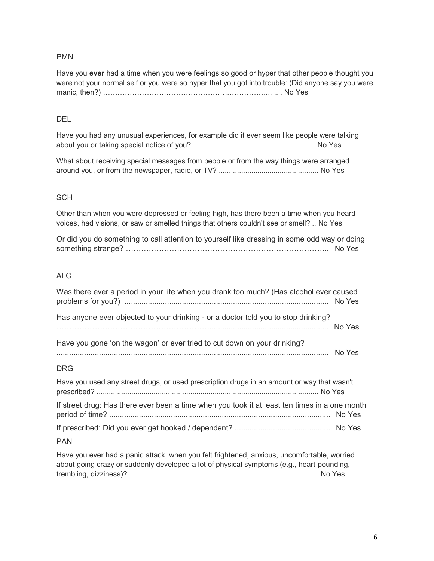#### PMN

Have you ever had a time when you were feelings so good or hyper that other people thought you were not your normal self or you were so hyper that you got into trouble: (Did anyone say you were manic, then?) …………………………………………….……………........ No Yes

#### DEL

Have you had any unusual experiences, for example did it ever seem like people were talking about you or taking special notice of you? ............................................................ No Yes

What about receiving special messages from people or from the way things were arranged around you, or from the newspaper, radio, or TV? ................................................. No Yes

#### **SCH**

Other than when you were depressed or feeling high, has there been a time when you heard voices, had visions, or saw or smelled things that others couldn't see or smell? .. No Yes

Or did you do something to call attention to yourself like dressing in some odd way or doing something strange? …………………………………………………………………….. No Yes

#### ALC

| Was there ever a period in your life when you drank too much? (Has alcohol ever caused                             |  |
|--------------------------------------------------------------------------------------------------------------------|--|
| Has anyone ever objected to your drinking - or a doctor told you to stop drinking?                                 |  |
| Have you gone 'on the wagon' or ever tried to cut down on your drinking?                                           |  |
| <b>DRG</b>                                                                                                         |  |
| Have you used any street drugs, or used prescription drugs in an amount or way that wasn't                         |  |
| If street drug: Has there ever been a time when you took it at least ten times in a one month                      |  |
|                                                                                                                    |  |
| <b>PAN</b>                                                                                                         |  |
| المنافر المستحدث والمستحدث والمستحدث والمستحدث والمستحدث والمستحدث والمنافر والمنافر والمستحدث والمستحدث والمستحدث |  |

Have you ever had a panic attack, when you felt frightened, anxious, uncomfortable, worried about going crazy or suddenly developed a lot of physical symptoms (e.g., heart-pounding, trembling, dizziness)? ……………………………………………................................ No Yes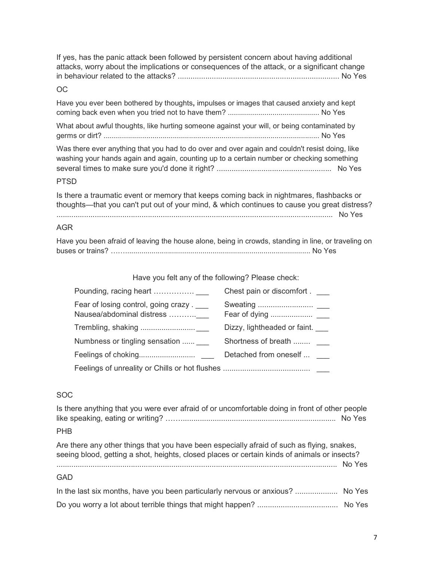If yes, has the panic attack been followed by persistent concern about having additional attacks, worry about the implications or consequences of the attack, or a significant change in behaviour related to the attacks? ............................................................................ No Yes

#### OC

Have you ever been bothered by thoughts, impulses or images that caused anxiety and kept coming back even when you tried not to have them? ............................................. No Yes

What about awful thoughts, like hurting someone against your will, or being contaminated by germs or dirt? .......................................................................................................... No Yes

Was there ever anything that you had to do over and over again and couldn't resist doing, like washing your hands again and again, counting up to a certain number or checking something several times to make sure you'd done it right? ...................................................... No Yes

#### PTSD

Is there a traumatic event or memory that keeps coming back in nightmares, flashbacks or thoughts—that you can't put out of your mind, & which continues to cause you great distress? .................................................................................................................................. No Yes

#### AGR

| Have you been afraid of leaving the house alone, being in crowds, standing in line, or traveling on |
|-----------------------------------------------------------------------------------------------------|
|                                                                                                     |

Have you felt any of the following? Please check:

|                                                                   | Chest pain or discomfort.    |
|-------------------------------------------------------------------|------------------------------|
| Fear of losing control, going crazy.<br>Nausea/abdominal distress |                              |
|                                                                   | Dizzy, lightheaded or faint. |
| Numbness or tingling sensation  ___                               | Shortness of breath          |
|                                                                   | Detached from oneself        |
|                                                                   |                              |

#### SOC

Is there anything that you were ever afraid of or uncomfortable doing in front of other people like speaking, eating or writing? ……......................................................................... No Yes

#### PHB

Are there any other things that you have been especially afraid of such as flying, snakes, seeing blood, getting a shot, heights, closed places or certain kinds of animals or insects? .................................................................................................................................... No Yes

#### GAD

| In the last six months, have you been particularly nervous or anxious?  No Yes |  |
|--------------------------------------------------------------------------------|--|
|                                                                                |  |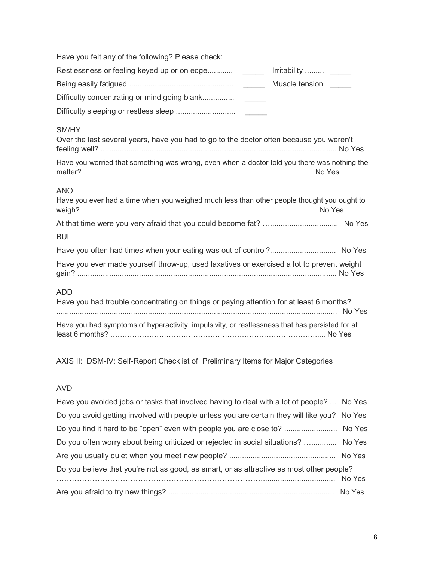| Have you felt any of the following? Please check:                                                        |
|----------------------------------------------------------------------------------------------------------|
| Restlessness or feeling keyed up or on edge ________ Irritability  _____                                 |
| Muscle tension                                                                                           |
| Difficulty concentrating or mind going blank                                                             |
|                                                                                                          |
| SM/HY<br>Over the last several years, have you had to go to the doctor often because you weren't         |
| Have you worried that something was wrong, even when a doctor told you there was nothing the             |
| <b>ANO</b><br>Have you ever had a time when you weighed much less than other people thought you ought to |
| <b>BUL</b>                                                                                               |
| Have you often had times when your eating was out of control? No Yes                                     |
| Have you ever made yourself throw-up, used laxatives or exercised a lot to prevent weight                |
| <b>ADD</b><br>Have you had trouble concentrating on things or paying attention for at least 6 months?    |
| Have you had symptoms of hyperactivity, impulsivity, or restlessness that has persisted for at           |

AXIS II: DSM-IV: Self-Report Checklist of Preliminary Items for Major Categories

### AVD

| Have you avoided jobs or tasks that involved having to deal with a lot of people?  No Yes   |  |
|---------------------------------------------------------------------------------------------|--|
| Do you avoid getting involved with people unless you are certain they will like you? No Yes |  |
| Do you find it hard to be "open" even with people you are close to?  No Yes                 |  |
| Do you often worry about being criticized or rejected in social situations?  No Yes         |  |
|                                                                                             |  |
| Do you believe that you're not as good, as smart, or as attractive as most other people?    |  |
|                                                                                             |  |
|                                                                                             |  |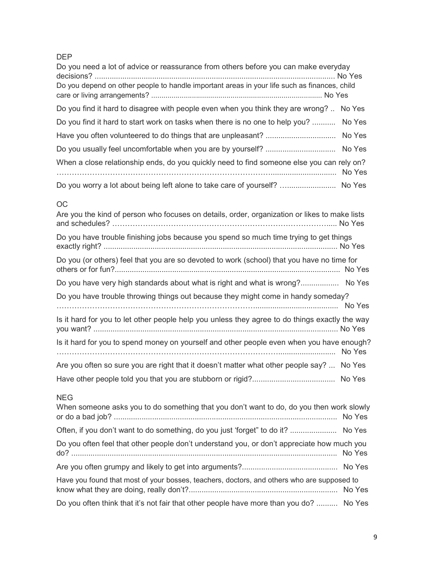# DEP

| Do you need a lot of advice or reassurance from others before you can make everyday          |        |
|----------------------------------------------------------------------------------------------|--------|
| Do you depend on other people to handle important areas in your life such as finances, child |        |
| Do you find it hard to disagree with people even when you think they are wrong?  No Yes      |        |
| Do you find it hard to start work on tasks when there is no one to help you?  No Yes         |        |
|                                                                                              |        |
|                                                                                              |        |
| When a close relationship ends, do you quickly need to find someone else you can rely on?    | No Yes |
| Do you worry a lot about being left alone to take care of yourself?  No Yes                  |        |

### OC

| Are you the kind of person who focuses on details, order, organization or likes to make lists          |  |
|--------------------------------------------------------------------------------------------------------|--|
| Do you have trouble finishing jobs because you spend so much time trying to get things                 |  |
| Do you (or others) feel that you are so devoted to work (school) that you have no time for             |  |
| Do you have very high standards about what is right and what is wrong? No Yes                          |  |
| Do you have trouble throwing things out because they might come in handy someday?                      |  |
| Is it hard for you to let other people help you unless they agree to do things exactly the way         |  |
| Is it hard for you to spend money on yourself and other people even when you have enough?              |  |
| Are you often so sure you are right that it doesn't matter what other people say?  No Yes              |  |
|                                                                                                        |  |
| <b>NEG</b><br>When someone asks you to do something that you don't want to do, do you then work slowly |  |

| Often, if you don't want to do something, do you just 'forget" to do it?  No Yes           |  |
|--------------------------------------------------------------------------------------------|--|
| Do you often feel that other people don't understand you, or don't appreciate how much you |  |
|                                                                                            |  |
| Have you found that most of your bosses, teachers, doctors, and others who are supposed to |  |
| Do you often think that it's not fair that other people have more than you do?  No Yes     |  |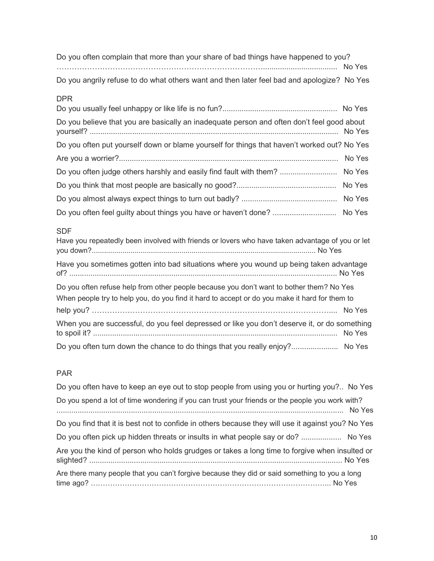| Do you often complain that more than your share of bad things have happened to you?        |  |
|--------------------------------------------------------------------------------------------|--|
|                                                                                            |  |
| Do you angrily refuse to do what others want and then later feel bad and apologize? No Yes |  |

### DPR

| Do you believe that you are basically an inadequate person and often don't feel good about  |  |
|---------------------------------------------------------------------------------------------|--|
| Do you often put yourself down or blame yourself for things that haven't worked out? No Yes |  |
|                                                                                             |  |
| Do you often judge others harshly and easily find fault with them?  No Yes                  |  |
|                                                                                             |  |
|                                                                                             |  |
| Do you often feel guilty about things you have or haven't done?  No Yes                     |  |

### SDF

| Have you repeatedly been involved with friends or lovers who have taken advantage of you or let |  |
|-------------------------------------------------------------------------------------------------|--|
| Have you sometimes gotten into bad situations where you wound up being taken advantage          |  |
| Do you often refuse help from other people because you don't want to bother them? No Yes        |  |
| When people try to help you, do you find it hard to accept or do you make it hard for them to   |  |
|                                                                                                 |  |
| When you are successful, do you feel depressed or like you don't deserve it, or do something    |  |
| Do you often turn down the chance to do things that you really enjoy? No Yes                    |  |

# PAR

| Do you often have to keep an eye out to stop people from using you or hurting you? No Yes         |
|---------------------------------------------------------------------------------------------------|
| Do you spend a lot of time wondering if you can trust your friends or the people you work with?   |
| Do you find that it is best not to confide in others because they will use it against you? No Yes |
| Do you often pick up hidden threats or insults in what people say or do?  No Yes                  |
| Are you the kind of person who holds grudges or takes a long time to forgive when insulted or     |
| Are there many people that you can't forgive because they did or said something to you a long     |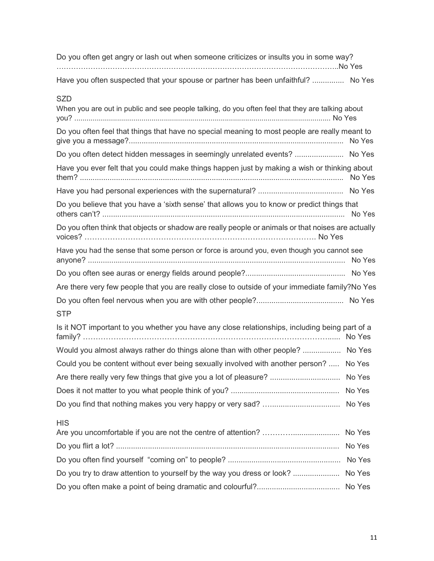| Do you often get angry or lash out when someone criticizes or insults you in some way? |  |
|----------------------------------------------------------------------------------------|--|
|                                                                                        |  |
| Have you often suspected that your spouse or partner has been unfaithful?  No Yes      |  |

# SZD

| When you are out in public and see people talking, do you often feel that they are talking about   |        |
|----------------------------------------------------------------------------------------------------|--------|
| Do you often feel that things that have no special meaning to most people are really meant to      |        |
| Do you often detect hidden messages in seemingly unrelated events?  No Yes                         |        |
| Have you ever felt that you could make things happen just by making a wish or thinking about       |        |
|                                                                                                    |        |
| Do you believe that you have a 'sixth sense' that allows you to know or predict things that        |        |
| Do you often think that objects or shadow are really people or animals or that noises are actually |        |
| Have you had the sense that some person or force is around you, even though you cannot see         |        |
|                                                                                                    |        |
| Are there very few people that you are really close to outside of your immediate family?No Yes     |        |
| <b>STP</b>                                                                                         |        |
| Is it NOT important to you whether you have any close relationships, including being part of a     |        |
| Would you almost always rather do things alone than with other people?  No Yes                     |        |
| Could you be content without ever being sexually involved with another person?  No Yes             |        |
| Are there really very few things that give you a lot of pleasure?  No Yes                          |        |
|                                                                                                    |        |
|                                                                                                    |        |
| <b>HIS</b>                                                                                         |        |
|                                                                                                    |        |
|                                                                                                    |        |
|                                                                                                    | No Yes |
| Do you try to draw attention to yourself by the way you dress or look?  No Yes                     |        |
|                                                                                                    |        |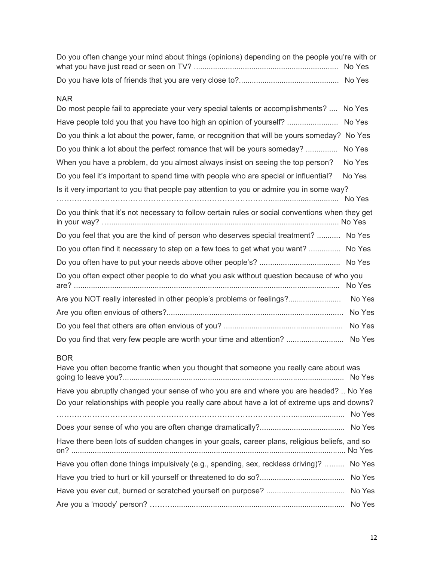| Do you often change your mind about things (opinions) depending on the people you're with or |  |
|----------------------------------------------------------------------------------------------|--|
|                                                                                              |  |
|                                                                                              |  |

### NAR

| Do most people fail to appreciate your very special talents or accomplishments?  No Yes                                                                                               |        |
|---------------------------------------------------------------------------------------------------------------------------------------------------------------------------------------|--------|
| Have people told you that you have too high an opinion of yourself?  No Yes                                                                                                           |        |
| Do you think a lot about the power, fame, or recognition that will be yours someday? No Yes                                                                                           |        |
| Do you think a lot about the perfect romance that will be yours someday?  No Yes                                                                                                      |        |
| When you have a problem, do you almost always insist on seeing the top person?                                                                                                        | No Yes |
| Do you feel it's important to spend time with people who are special or influential?                                                                                                  | No Yes |
| Is it very important to you that people pay attention to you or admire you in some way?                                                                                               |        |
| Do you think that it's not necessary to follow certain rules or social conventions when they get                                                                                      |        |
| Do you feel that you are the kind of person who deserves special treatment?  No Yes                                                                                                   |        |
| Do you often find it necessary to step on a few toes to get what you want?  No Yes                                                                                                    |        |
|                                                                                                                                                                                       |        |
| Do you often expect other people to do what you ask without question because of who you                                                                                               |        |
| Are you NOT really interested in other people's problems or feelings? No Yes                                                                                                          |        |
|                                                                                                                                                                                       |        |
|                                                                                                                                                                                       |        |
| Do you find that very few people are worth your time and attention?  No Yes                                                                                                           |        |
| <b>BOR</b><br>Have you often become frantic when you thought that someone you really care about was                                                                                   |        |
| Have you abruptly changed your sense of who you are and where you are headed?  No Yes<br>Do your relationships with people you really care about have a lot of extreme ups and downs? |        |
|                                                                                                                                                                                       |        |
| Have there been lots of sudden changes in your goals, career plans, religious beliefs, and so                                                                                         |        |
| Have you often done things impulsively (e.g., spending, sex, reckless driving)?  No Yes                                                                                               |        |
|                                                                                                                                                                                       |        |
|                                                                                                                                                                                       |        |
|                                                                                                                                                                                       |        |